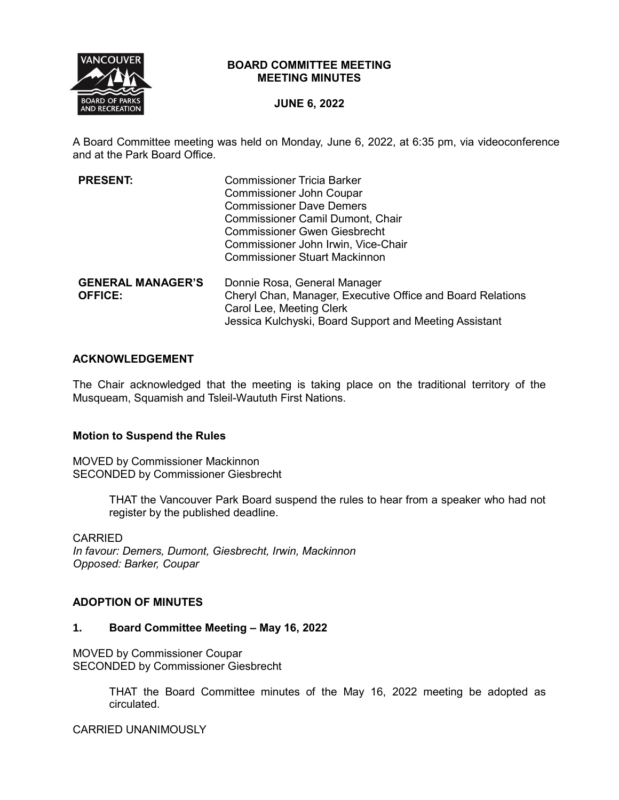

## **BOARD COMMITTEE MEETING MEETING MINUTES**

## **JUNE 6, 2022**

A Board Committee meeting was held on Monday, June 6, 2022, at 6:35 pm, via videoconference and at the Park Board Office.

| <b>PRESENT:</b>          | <b>Commissioner Tricia Barker</b>                          |
|--------------------------|------------------------------------------------------------|
|                          | <b>Commissioner John Coupar</b>                            |
|                          | <b>Commissioner Dave Demers</b>                            |
|                          | <b>Commissioner Camil Dumont, Chair</b>                    |
|                          | <b>Commissioner Gwen Giesbrecht</b>                        |
|                          | Commissioner John Irwin, Vice-Chair                        |
|                          | <b>Commissioner Stuart Mackinnon</b>                       |
| <b>GENERAL MANAGER'S</b> | Donnie Rosa, General Manager                               |
| <b>OFFICE:</b>           | Cheryl Chan, Manager, Executive Office and Board Relations |
|                          | Carol Lee, Meeting Clerk                                   |
|                          | Jessica Kulchyski, Board Support and Meeting Assistant     |

## **ACKNOWLEDGEMENT**

The Chair acknowledged that the meeting is taking place on the traditional territory of the Musqueam, Squamish and Tsleil-Waututh First Nations.

## **Motion to Suspend the Rules**

MOVED by Commissioner Mackinnon SECONDED by Commissioner Giesbrecht

> THAT the Vancouver Park Board suspend the rules to hear from a speaker who had not register by the published deadline.

## CARRIED

*In favour: Demers, Dumont, Giesbrecht, Irwin, Mackinnon Opposed: Barker, Coupar*

### **ADOPTION OF MINUTES**

#### **1. Board Committee Meeting – May 16, 2022**

MOVED by Commissioner Coupar SECONDED by Commissioner Giesbrecht

> THAT the Board Committee minutes of the May 16, 2022 meeting be adopted as circulated.

CARRIED UNANIMOUSLY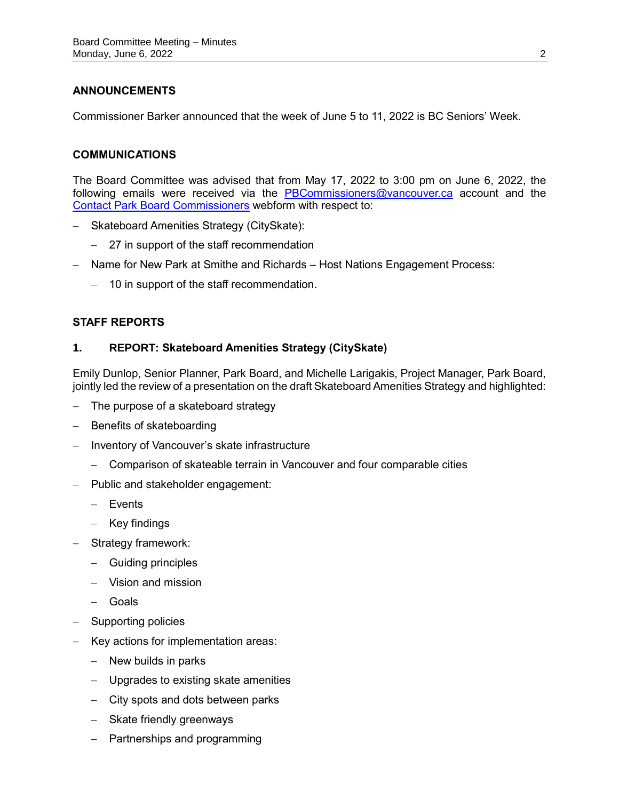# **ANNOUNCEMENTS**

Commissioner Barker announced that the week of June 5 to 11, 2022 is BC Seniors' Week.

## **COMMUNICATIONS**

The Board Committee was advised that from May 17, 2022 to 3:00 pm on June 6, 2022, the following emails were received via the [PBCommissioners@vancouver.ca](mailto:PBCommissioners@vancouver.ca) account and the [Contact Park Board Commissioners](https://vancouver.ca/your-government/contact-park-board.aspx) webform with respect to:

- Skateboard Amenities Strategy (CitySkate):
	- 27 in support of the staff recommendation
- Name for New Park at Smithe and Richards Host Nations Engagement Process:
	- 10 in support of the staff recommendation.

## **STAFF REPORTS**

## **1. REPORT: Skateboard Amenities Strategy (CitySkate)**

Emily Dunlop, Senior Planner, Park Board, and Michelle Larigakis, Project Manager, Park Board, jointly led the review of a presentation on the draft Skateboard Amenities Strategy and highlighted:

- $-$  The purpose of a skateboard strategy
- Benefits of skateboarding
- Inventory of Vancouver's skate infrastructure
	- Comparison of skateable terrain in Vancouver and four comparable cities
- $-$  Public and stakeholder engagement:
	- Events
	- $-$  Key findings
- Strategy framework:
	- Guiding principles
	- Vision and mission
	- Goals
- Supporting policies
- Key actions for implementation areas:
	- $-$  New builds in parks
	- Upgrades to existing skate amenities
	- City spots and dots between parks
	- $-$  Skate friendly greenways
	- Partnerships and programming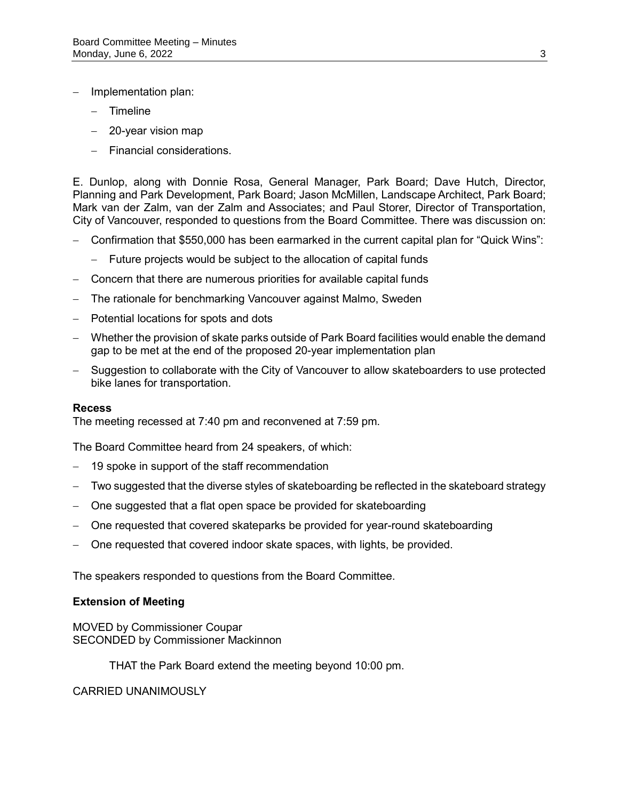- Implementation plan:
	- Timeline
	- 20-year vision map
	- Financial considerations.

E. Dunlop, along with Donnie Rosa, General Manager, Park Board; Dave Hutch, Director, Planning and Park Development, Park Board; Jason McMillen, Landscape Architect, Park Board; Mark van der Zalm, van der Zalm and Associates; and Paul Storer, Director of Transportation, City of Vancouver, responded to questions from the Board Committee. There was discussion on:

- Confirmation that \$550,000 has been earmarked in the current capital plan for "Quick Wins":
	- Future projects would be subject to the allocation of capital funds
- Concern that there are numerous priorities for available capital funds
- The rationale for benchmarking Vancouver against Malmo, Sweden
- Potential locations for spots and dots
- Whether the provision of skate parks outside of Park Board facilities would enable the demand gap to be met at the end of the proposed 20-year implementation plan
- Suggestion to collaborate with the City of Vancouver to allow skateboarders to use protected bike lanes for transportation.

#### **Recess**

The meeting recessed at 7:40 pm and reconvened at 7:59 pm.

The Board Committee heard from 24 speakers, of which:

- 19 spoke in support of the staff recommendation
- Two suggested that the diverse styles of skateboarding be reflected in the skateboard strategy
- One suggested that a flat open space be provided for skateboarding
- One requested that covered skateparks be provided for year-round skateboarding
- One requested that covered indoor skate spaces, with lights, be provided.

The speakers responded to questions from the Board Committee.

#### **Extension of Meeting**

MOVED by Commissioner Coupar SECONDED by Commissioner Mackinnon

THAT the Park Board extend the meeting beyond 10:00 pm.

#### CARRIED UNANIMOUSLY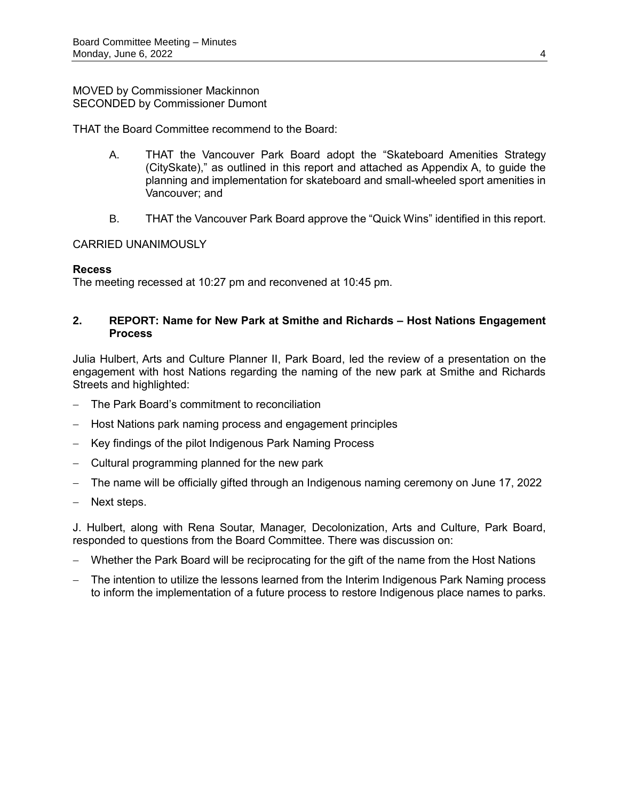### MOVED by Commissioner Mackinnon SECONDED by Commissioner Dumont

THAT the Board Committee recommend to the Board:

- A. THAT the Vancouver Park Board adopt the "Skateboard Amenities Strategy (CitySkate)," as outlined in this report and attached as Appendix A, to guide the planning and implementation for skateboard and small-wheeled sport amenities in Vancouver; and
- B. THAT the Vancouver Park Board approve the "Quick Wins" identified in this report.

## CARRIED UNANIMOUSLY

## **Recess**

The meeting recessed at 10:27 pm and reconvened at 10:45 pm.

## **2. REPORT: Name for New Park at Smithe and Richards – Host Nations Engagement Process**

Julia Hulbert, Arts and Culture Planner II, Park Board, led the review of a presentation on the engagement with host Nations regarding the naming of the new park at Smithe and Richards Streets and highlighted:

- The Park Board's commitment to reconciliation
- Host Nations park naming process and engagement principles
- Key findings of the pilot Indigenous Park Naming Process
- Cultural programming planned for the new park
- The name will be officially gifted through an Indigenous naming ceremony on June 17, 2022
- Next steps.

J. Hulbert, along with Rena Soutar, Manager, Decolonization, Arts and Culture, Park Board, responded to questions from the Board Committee. There was discussion on:

- Whether the Park Board will be reciprocating for the gift of the name from the Host Nations
- The intention to utilize the lessons learned from the Interim Indigenous Park Naming process to inform the implementation of a future process to restore Indigenous place names to parks.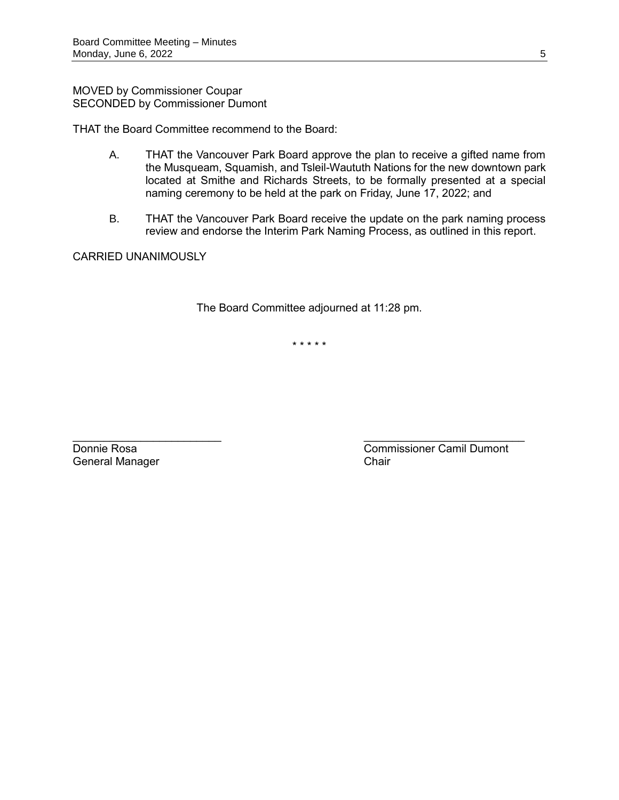MOVED by Commissioner Coupar SECONDED by Commissioner Dumont

THAT the Board Committee recommend to the Board:

- A. THAT the Vancouver Park Board approve the plan to receive a gifted name from the Musqueam, Squamish, and Tsleil-Waututh Nations for the new downtown park located at Smithe and Richards Streets, to be formally presented at a special naming ceremony to be held at the park on Friday, June 17, 2022; and
- B. THAT the Vancouver Park Board receive the update on the park naming process review and endorse the Interim Park Naming Process, as outlined in this report.

CARRIED UNANIMOUSLY

The Board Committee adjourned at 11:28 pm.

\* \* \* \* \*

General Manager **Chair** Chair

 $\mathcal{L}_\text{max}$  , and the contract of the contract of the contract of the contract of the contract of the contract of the contract of the contract of the contract of the contract of the contract of the contract of the contr **Donnie Rosa** Commissioner Camil Dumont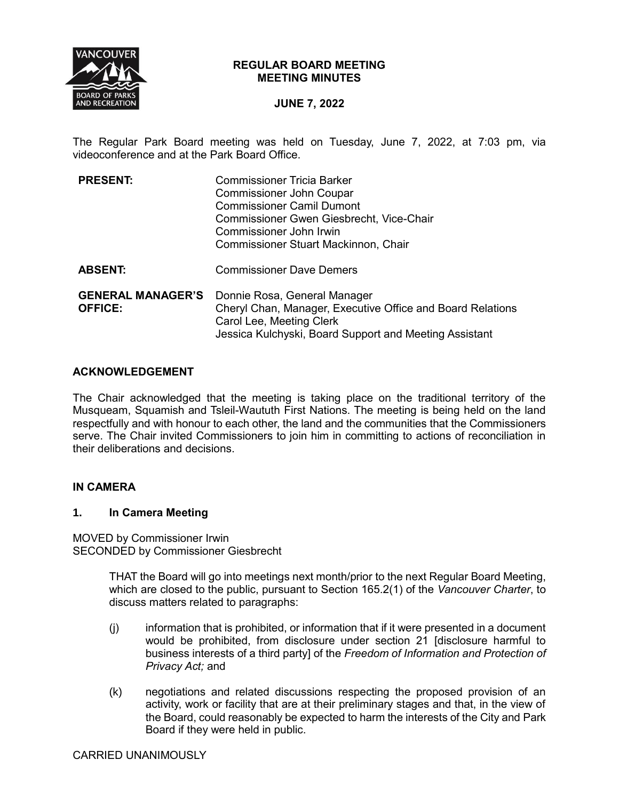

## **REGULAR BOARD MEETING MEETING MINUTES**

# **JUNE 7, 2022**

The Regular Park Board meeting was held on Tuesday, June 7, 2022, at 7:03 pm, via videoconference and at the Park Board Office.

| <b>PRESENT:</b>                            | <b>Commissioner Tricia Barker</b><br><b>Commissioner John Coupar</b><br><b>Commissioner Camil Dumont</b><br>Commissioner Gwen Giesbrecht, Vice-Chair<br>Commissioner John Irwin<br>Commissioner Stuart Mackinnon, Chair |
|--------------------------------------------|-------------------------------------------------------------------------------------------------------------------------------------------------------------------------------------------------------------------------|
| <b>ABSENT:</b>                             | <b>Commissioner Dave Demers</b>                                                                                                                                                                                         |
| <b>GENERAL MANAGER'S</b><br><b>OFFICE:</b> | Donnie Rosa, General Manager<br>Cheryl Chan, Manager, Executive Office and Board Relations<br>Carol Lee, Meeting Clerk<br>Jessica Kulchyski, Board Support and Meeting Assistant                                        |

## **ACKNOWLEDGEMENT**

The Chair acknowledged that the meeting is taking place on the traditional territory of the Musqueam, Squamish and Tsleil-Waututh First Nations. The meeting is being held on the land respectfully and with honour to each other, the land and the communities that the Commissioners serve. The Chair invited Commissioners to join him in committing to actions of reconciliation in their deliberations and decisions.

## **IN CAMERA**

#### **1. In Camera Meeting**

MOVED by Commissioner Irwin SECONDED by Commissioner Giesbrecht

> THAT the Board will go into meetings next month/prior to the next Regular Board Meeting, which are closed to the public, pursuant to Section 165.2(1) of the *Vancouver Charter*, to discuss matters related to paragraphs:

- (j) information that is prohibited, or information that if it were presented in a document would be prohibited, from disclosure under section 21 [disclosure harmful to business interests of a third party] of the *Freedom of Information and Protection of Privacy Act;* and
- (k) negotiations and related discussions respecting the proposed provision of an activity, work or facility that are at their preliminary stages and that, in the view of the Board, could reasonably be expected to harm the interests of the City and Park Board if they were held in public.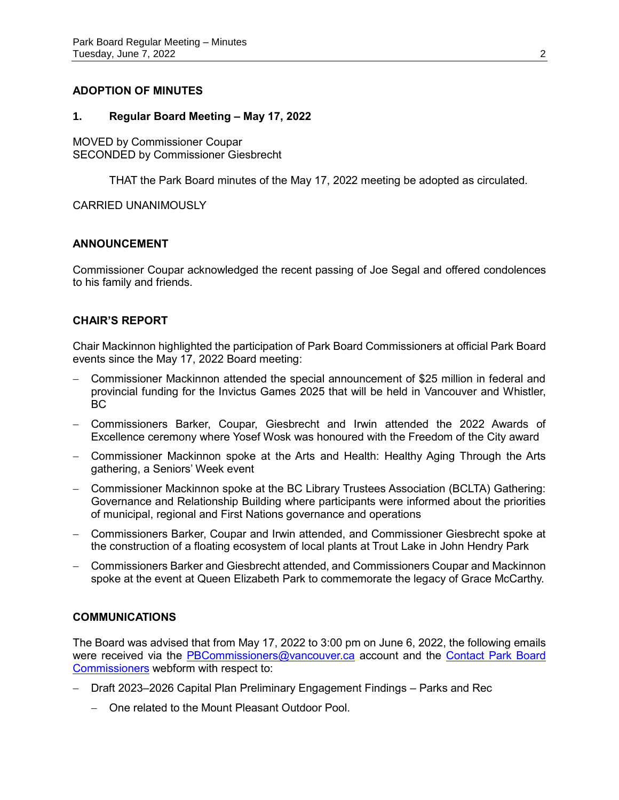## **ADOPTION OF MINUTES**

#### **1. Regular Board Meeting – May 17, 2022**

MOVED by Commissioner Coupar SECONDED by Commissioner Giesbrecht

THAT the Park Board minutes of the May 17, 2022 meeting be adopted as circulated.

CARRIED UNANIMOUSLY

## **ANNOUNCEMENT**

Commissioner Coupar acknowledged the recent passing of Joe Segal and offered condolences to his family and friends.

## **CHAIR'S REPORT**

Chair Mackinnon highlighted the participation of Park Board Commissioners at official Park Board events since the May 17, 2022 Board meeting:

- Commissioner Mackinnon attended the special announcement of \$25 million in federal and provincial funding for the Invictus Games 2025 that will be held in Vancouver and Whistler, BC
- Commissioners Barker, Coupar, Giesbrecht and Irwin attended the 2022 Awards of Excellence ceremony where Yosef Wosk was honoured with the Freedom of the City award
- Commissioner Mackinnon spoke at the Arts and Health: Healthy Aging Through the Arts gathering, a Seniors' Week event
- Commissioner Mackinnon spoke at the BC Library Trustees Association (BCLTA) Gathering: Governance and Relationship Building where participants were informed about the priorities of municipal, regional and First Nations governance and operations
- Commissioners Barker, Coupar and Irwin attended, and Commissioner Giesbrecht spoke at the construction of a floating ecosystem of local plants at Trout Lake in John Hendry Park
- Commissioners Barker and Giesbrecht attended, and Commissioners Coupar and Mackinnon spoke at the event at Queen Elizabeth Park to commemorate the legacy of Grace McCarthy.

## **COMMUNICATIONS**

The Board was advised that from May 17, 2022 to 3:00 pm on June 6, 2022, the following emails were received via the [PBCommissioners@vancouver.ca](mailto:PBCommissioners@vancouver.ca) account and the Contact Park Board [Commissioners](https://vancouver.ca/your-government/contact-park-board.aspx) webform with respect to:

- Draft 2023–2026 Capital Plan Preliminary Engagement Findings Parks and Rec
	- One related to the Mount Pleasant Outdoor Pool.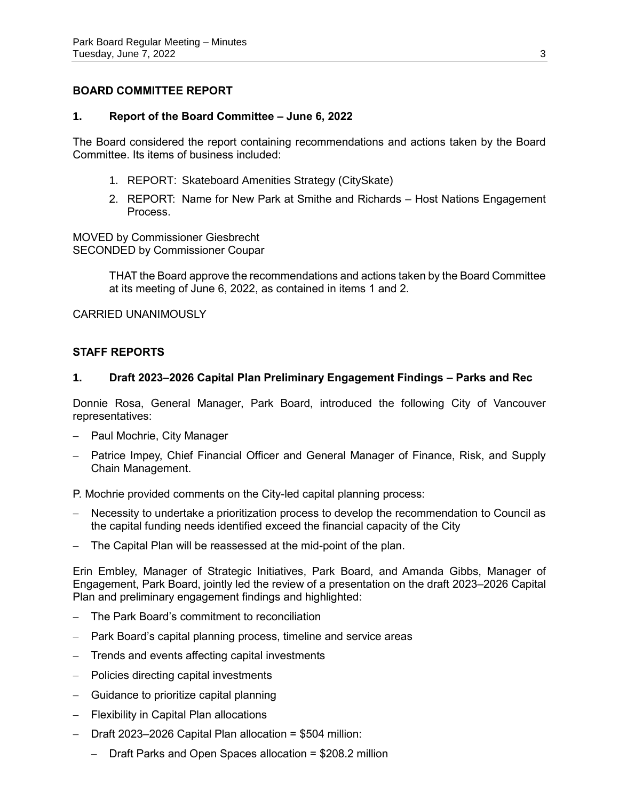## **BOARD COMMITTEE REPORT**

## **1. Report of the Board Committee – June 6, 2022**

The Board considered the report containing recommendations and actions taken by the Board Committee. Its items of business included:

- 1. REPORT: Skateboard Amenities Strategy (CitySkate)
- 2. REPORT: Name for New Park at Smithe and Richards Host Nations Engagement Process.

MOVED by Commissioner Giesbrecht SECONDED by Commissioner Coupar

> THAT the Board approve the recommendations and actions taken by the Board Committee at its meeting of June 6, 2022, as contained in items 1 and 2.

CARRIED UNANIMOUSLY

## **STAFF REPORTS**

## **1. Draft 2023–2026 Capital Plan Preliminary Engagement Findings – Parks and Rec**

Donnie Rosa, General Manager, Park Board, introduced the following City of Vancouver representatives:

- Paul Mochrie, City Manager
- Patrice Impey, Chief Financial Officer and General Manager of Finance, Risk, and Supply Chain Management.

P. Mochrie provided comments on the City-led capital planning process:

- Necessity to undertake a prioritization process to develop the recommendation to Council as the capital funding needs identified exceed the financial capacity of the City
- The Capital Plan will be reassessed at the mid-point of the plan.

Erin Embley, Manager of Strategic Initiatives, Park Board, and Amanda Gibbs, Manager of Engagement, Park Board, jointly led the review of a presentation on the draft 2023–2026 Capital Plan and preliminary engagement findings and highlighted:

- The Park Board's commitment to reconciliation
- Park Board's capital planning process, timeline and service areas
- Trends and events affecting capital investments
- Policies directing capital investments
- Guidance to prioritize capital planning
- Flexibility in Capital Plan allocations
- Draft 2023–2026 Capital Plan allocation = \$504 million:
	- Draft Parks and Open Spaces allocation = \$208.2 million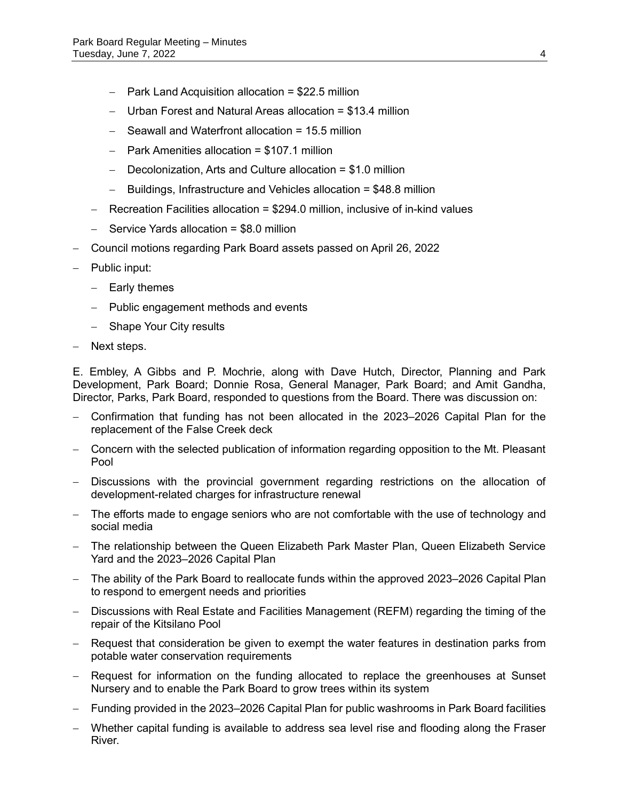- $-$  Park Land Acquisition allocation = \$22.5 million
- Urban Forest and Natural Areas allocation = \$13.4 million
- Seawall and Waterfront allocation = 15.5 million
- $-$  Park Amenities allocation = \$107.1 million
- $-$  Decolonization, Arts and Culture allocation = \$1.0 million
- $-$  Buildings, Infrastructure and Vehicles allocation = \$48.8 million
- Recreation Facilities allocation = \$294.0 million, inclusive of in-kind values
- $-$  Service Yards allocation = \$8.0 million
- Council motions regarding Park Board assets passed on April 26, 2022
- Public input:
	- $-$  Early themes
	- Public engagement methods and events
	- Shape Your City results
- Next steps.

E. Embley, A Gibbs and P. Mochrie, along with Dave Hutch, Director, Planning and Park Development, Park Board; Donnie Rosa, General Manager, Park Board; and Amit Gandha, Director, Parks, Park Board, responded to questions from the Board. There was discussion on:

- Confirmation that funding has not been allocated in the 2023–2026 Capital Plan for the replacement of the False Creek deck
- Concern with the selected publication of information regarding opposition to the Mt. Pleasant Pool
- Discussions with the provincial government regarding restrictions on the allocation of development-related charges for infrastructure renewal
- The efforts made to engage seniors who are not comfortable with the use of technology and social media
- The relationship between the Queen Elizabeth Park Master Plan, Queen Elizabeth Service Yard and the 2023–2026 Capital Plan
- The ability of the Park Board to reallocate funds within the approved 2023–2026 Capital Plan to respond to emergent needs and priorities
- Discussions with Real Estate and Facilities Management (REFM) regarding the timing of the repair of the Kitsilano Pool
- Request that consideration be given to exempt the water features in destination parks from potable water conservation requirements
- Request for information on the funding allocated to replace the greenhouses at Sunset Nursery and to enable the Park Board to grow trees within its system
- Funding provided in the 2023–2026 Capital Plan for public washrooms in Park Board facilities
- Whether capital funding is available to address sea level rise and flooding along the Fraser River.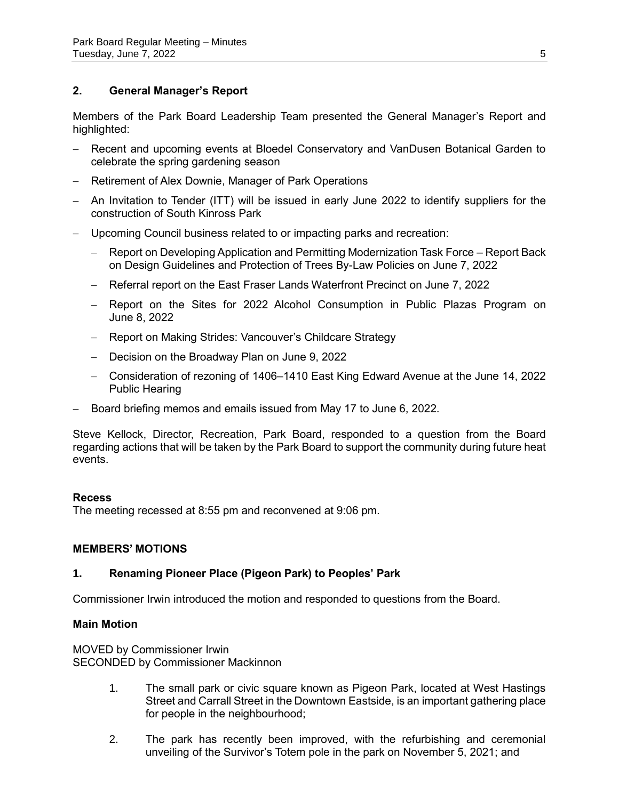# **2. General Manager's Report**

Members of the Park Board Leadership Team presented the General Manager's Report and highlighted:

- Recent and upcoming events at Bloedel Conservatory and VanDusen Botanical Garden to celebrate the spring gardening season
- Retirement of Alex Downie, Manager of Park Operations
- An Invitation to Tender (ITT) will be issued in early June 2022 to identify suppliers for the construction of South Kinross Park
- Upcoming Council business related to or impacting parks and recreation:
	- Report on Developing Application and Permitting Modernization Task Force Report Back on Design Guidelines and Protection of Trees By-Law Policies on June 7, 2022
	- Referral report on the East Fraser Lands Waterfront Precinct on June 7, 2022
	- Report on the Sites for 2022 Alcohol Consumption in Public Plazas Program on June 8, 2022
	- Report on Making Strides: Vancouver's Childcare Strategy
	- Decision on the Broadway Plan on June 9, 2022
	- Consideration of rezoning of 1406–1410 East King Edward Avenue at the June 14, 2022 Public Hearing
- Board briefing memos and emails issued from May 17 to June 6, 2022.

Steve Kellock, Director, Recreation, Park Board, responded to a question from the Board regarding actions that will be taken by the Park Board to support the community during future heat events.

#### **Recess**

The meeting recessed at 8:55 pm and reconvened at 9:06 pm.

#### **MEMBERS' MOTIONS**

## **1. Renaming Pioneer Place (Pigeon Park) to Peoples' Park**

Commissioner Irwin introduced the motion and responded to questions from the Board.

#### **Main Motion**

MOVED by Commissioner Irwin SECONDED by Commissioner Mackinnon

- 1. The small park or civic square known as Pigeon Park, located at West Hastings Street and Carrall Street in the Downtown Eastside, is an important gathering place for people in the neighbourhood;
- 2. The park has recently been improved, with the refurbishing and ceremonial unveiling of the Survivor's Totem pole in the park on November 5, 2021; and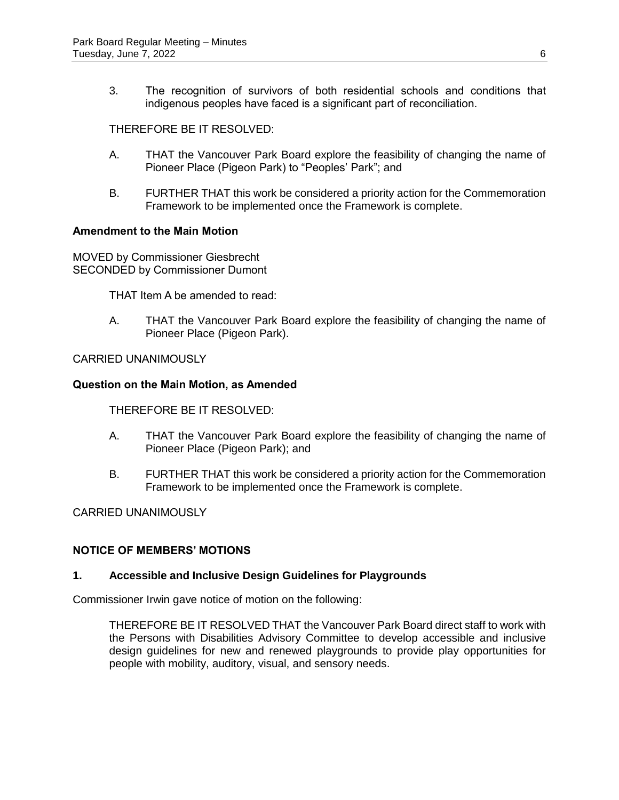3. The recognition of survivors of both residential schools and conditions that indigenous peoples have faced is a significant part of reconciliation.

THEREFORE BE IT RESOLVED:

- A. THAT the Vancouver Park Board explore the feasibility of changing the name of Pioneer Place (Pigeon Park) to "Peoples' Park"; and
- B. FURTHER THAT this work be considered a priority action for the Commemoration Framework to be implemented once the Framework is complete.

## **Amendment to the Main Motion**

MOVED by Commissioner Giesbrecht SECONDED by Commissioner Dumont

THAT Item A be amended to read:

A. THAT the Vancouver Park Board explore the feasibility of changing the name of Pioneer Place (Pigeon Park).

CARRIED UNANIMOUSLY

#### **Question on the Main Motion, as Amended**

THEREFORE BE IT RESOLVED:

- A. THAT the Vancouver Park Board explore the feasibility of changing the name of Pioneer Place (Pigeon Park); and
- B. FURTHER THAT this work be considered a priority action for the Commemoration Framework to be implemented once the Framework is complete.

CARRIED UNANIMOUSLY

## **NOTICE OF MEMBERS' MOTIONS**

#### **1. Accessible and Inclusive Design Guidelines for Playgrounds**

Commissioner Irwin gave notice of motion on the following:

THEREFORE BE IT RESOLVED THAT the Vancouver Park Board direct staff to work with the Persons with Disabilities Advisory Committee to develop accessible and inclusive design guidelines for new and renewed playgrounds to provide play opportunities for people with mobility, auditory, visual, and sensory needs.